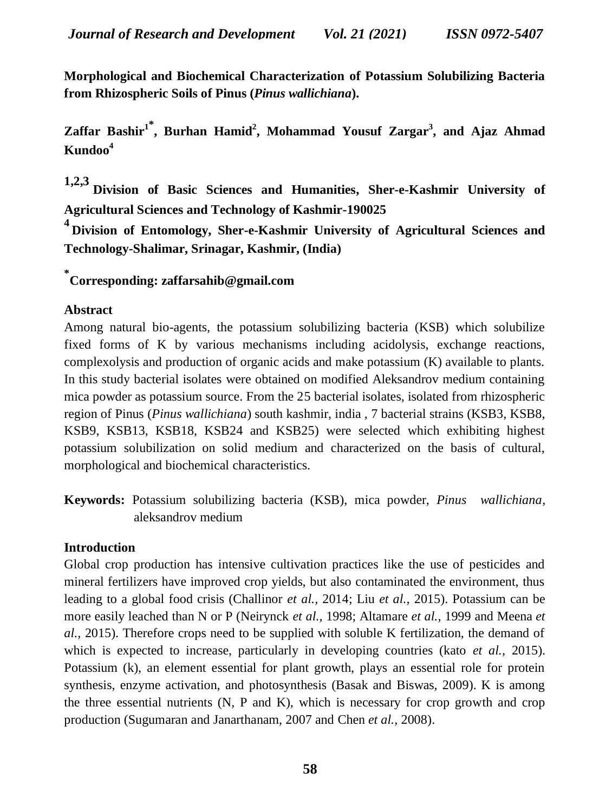**Morphological and Biochemical Characterization of Potassium Solubilizing Bacteria from Rhizospheric Soils of Pinus (***Pinus wallichiana***).** 

**Zaffar Bashir<sup>1</sup>\* , Burhan Hamid<sup>2</sup> , Mohammad Yousuf Zargar<sup>3</sup> , and Ajaz Ahmad Kundoo<sup>4</sup>**

**1,2,3 Division of Basic Sciences and Humanities, Sher-e-Kashmir University of Agricultural Sciences and Technology of Kashmir-190025**

**4 Division of Entomology, Sher-e-Kashmir University of Agricultural Sciences and Technology-Shalimar, Srinagar, Kashmir, (India)**

**\* Corresponding: zaffarsahib@gmail.com**

## **Abstract**

Among natural bio-agents, the potassium solubilizing bacteria (KSB) which solubilize fixed forms of K by various mechanisms including acidolysis, exchange reactions, complexolysis and production of organic acids and make potassium (K) available to plants. In this study bacterial isolates were obtained on modified Aleksandrov medium containing mica powder as potassium source. From the 25 bacterial isolates, isolated from rhizospheric region of Pinus (*Pinus wallichiana*) south kashmir, india , 7 bacterial strains (KSB3, KSB8, KSB9, KSB13, KSB18, KSB24 and KSB25) were selected which exhibiting highest potassium solubilization on solid medium and characterized on the basis of cultural, morphological and biochemical characteristics.

**Keywords:** Potassium solubilizing bacteria (KSB), mica powder, *Pinus wallichiana*, aleksandrov medium

## **Introduction**

Global crop production has intensive cultivation practices like the use of pesticides and mineral fertilizers have improved crop yields, but also contaminated the environment, thus leading to a global food crisis (Challinor *et al.,* 2014; Liu *et al.,* 2015). Potassium can be more easily leached than N or P (Neirynck *et al.,* 1998; Altamare *et al.,* 1999 and Meena *et al.,* 2015). Therefore crops need to be supplied with soluble K fertilization, the demand of which is expected to increase, particularly in developing countries (kato *et al.,* 2015). Potassium (k), an element essential for plant growth, plays an essential role for protein synthesis, enzyme activation, and photosynthesis (Basak and Biswas, 2009). K is among the three essential nutrients (N, P and K), which is necessary for crop growth and crop production (Sugumaran and Janarthanam, 2007 and Chen *et al.,* 2008).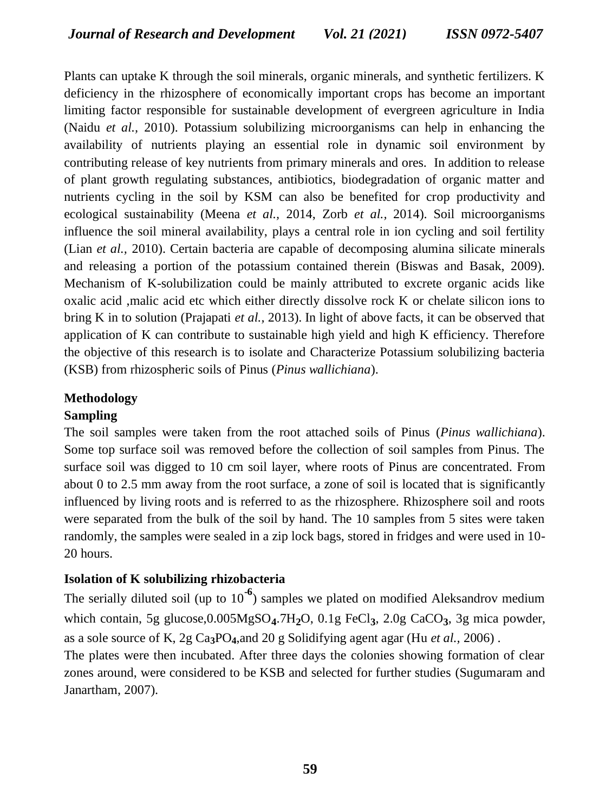Plants can uptake K through the soil minerals, organic minerals, and synthetic fertilizers. K deficiency in the rhizosphere of economically important crops has become an important limiting factor responsible for sustainable development of evergreen agriculture in India (Naidu *et al.,* 2010). Potassium solubilizing microorganisms can help in enhancing the availability of nutrients playing an essential role in dynamic soil environment by contributing release of key nutrients from primary minerals and ores. In addition to release of plant growth regulating substances, antibiotics, biodegradation of organic matter and nutrients cycling in the soil by KSM can also be benefited for crop productivity and ecological sustainability (Meena *et al.,* 2014, Zorb *et al.,* 2014). Soil microorganisms influence the soil mineral availability, plays a central role in ion cycling and soil fertility (Lian *et al.,* 2010). Certain bacteria are capable of decomposing alumina silicate minerals and releasing a portion of the potassium contained therein (Biswas and Basak, 2009). Mechanism of K-solubilization could be mainly attributed to excrete organic acids like oxalic acid ,malic acid etc which either directly dissolve rock K or chelate silicon ions to bring K in to solution (Prajapati *et al.,* 2013). In light of above facts, it can be observed that application of K can contribute to sustainable high yield and high K efficiency. Therefore the objective of this research is to isolate and Characterize Potassium solubilizing bacteria (KSB) from rhizospheric soils of Pinus (*Pinus wallichiana*).

# **Methodology**

## **Sampling**

The soil samples were taken from the root attached soils of Pinus (*Pinus wallichiana*). Some top surface soil was removed before the collection of soil samples from Pinus. The surface soil was digged to 10 cm soil layer, where roots of Pinus are concentrated. From about 0 to 2.5 mm away from the root surface, a zone of soil is located that is significantly influenced by living roots and is referred to as the rhizosphere. Rhizosphere soil and roots were separated from the bulk of the soil by hand. The 10 samples from 5 sites were taken randomly, the samples were sealed in a zip lock bags, stored in fridges and were used in 10- 20 hours.

## **Isolation of K solubilizing rhizobacteria**

The serially diluted soil (up to 10**-6** ) samples we plated on modified Aleksandrov medium which contain, 5g glucose,0.005MgSO**4**.7H**2**O, 0.1g FeCl**3**, 2.0g CaCO**3**, 3g mica powder, as a sole source of K, 2g Ca**3**PO**4**,and 20 g Solidifying agent agar (Hu *et al.,* 2006) .

The plates were then incubated. After three days the colonies showing formation of clear zones around, were considered to be KSB and selected for further studies (Sugumaram and Janartham, 2007).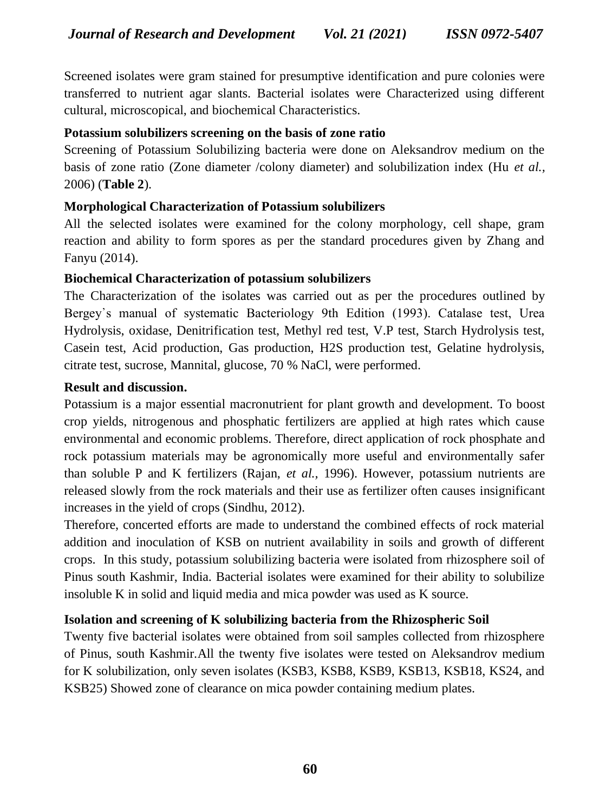Screened isolates were gram stained for presumptive identification and pure colonies were transferred to nutrient agar slants. Bacterial isolates were Characterized using different cultural, microscopical, and biochemical Characteristics.

#### **Potassium solubilizers screening on the basis of zone ratio**

Screening of Potassium Solubilizing bacteria were done on Aleksandrov medium on the basis of zone ratio (Zone diameter /colony diameter) and solubilization index (Hu *et al.,*  2006) (**Table 2**).

## **Morphological Characterization of Potassium solubilizers**

All the selected isolates were examined for the colony morphology, cell shape, gram reaction and ability to form spores as per the standard procedures given by Zhang and Fanyu (2014).

#### **Biochemical Characterization of potassium solubilizers**

The Characterization of the isolates was carried out as per the procedures outlined by Bergey᾿s manual of systematic Bacteriology 9th Edition (1993). Catalase test, Urea Hydrolysis, oxidase, Denitrification test, Methyl red test, V.P test, Starch Hydrolysis test, Casein test, Acid production, Gas production, H2S production test, Gelatine hydrolysis, citrate test, sucrose, Mannital, glucose, 70 % NaCl, were performed.

#### **Result and discussion.**

Potassium is a major essential macronutrient for plant growth and development. To boost crop yields, nitrogenous and phosphatic fertilizers are applied at high rates which cause environmental and economic problems. Therefore, direct application of rock phosphate and rock potassium materials may be agronomically more useful and environmentally safer than soluble P and K fertilizers (Rajan, *et al.,* 1996). However, potassium nutrients are released slowly from the rock materials and their use as fertilizer often causes insignificant increases in the yield of crops (Sindhu, 2012).

Therefore, concerted efforts are made to understand the combined effects of rock material addition and inoculation of KSB on nutrient availability in soils and growth of different crops. In this study, potassium solubilizing bacteria were isolated from rhizosphere soil of Pinus south Kashmir, India. Bacterial isolates were examined for their ability to solubilize insoluble K in solid and liquid media and mica powder was used as K source.

## **Isolation and screening of K solubilizing bacteria from the Rhizospheric Soil**

Twenty five bacterial isolates were obtained from soil samples collected from rhizosphere of Pinus, south Kashmir.All the twenty five isolates were tested on Aleksandrov medium for K solubilization, only seven isolates (KSB3, KSB8, KSB9, KSB13, KSB18, KS24, and KSB25) Showed zone of clearance on mica powder containing medium plates.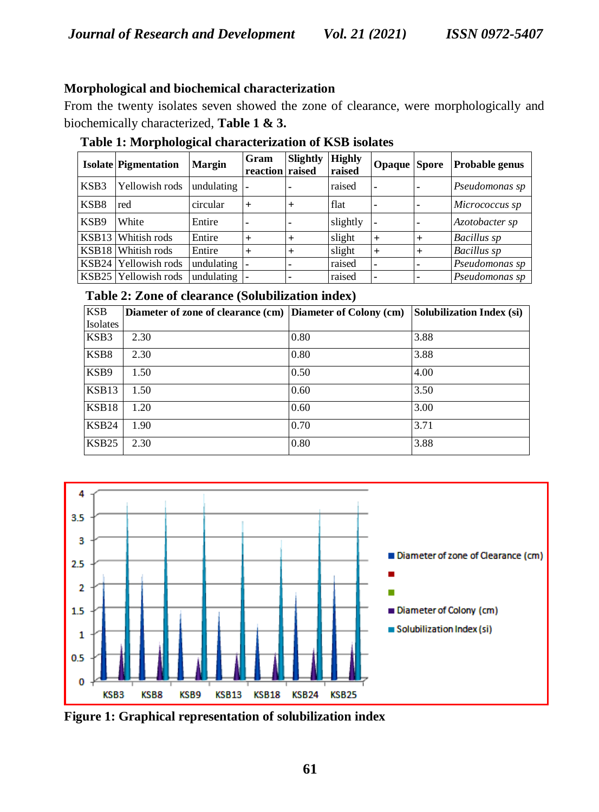#### **Morphological and biochemical characterization**

From the twenty isolates seven showed the zone of clearance, were morphologically and biochemically characterized, **Table 1 & 3.**

|       | <b>Isolate Pigmentation</b> | <b>Margin</b> | Gram<br>reaction raised | Slightly | <b>Highly</b><br>raised | <b>Opaque</b> Spore |                | Probable genus     |
|-------|-----------------------------|---------------|-------------------------|----------|-------------------------|---------------------|----------------|--------------------|
| KSB3  | Yellowish rods              | undulating    |                         |          | raised                  | ۰                   | $\blacksquare$ | Pseudomonas sp     |
| KSB8  | red                         | circular      | $+$                     | $^{+}$   | flat                    |                     | ۰              | Micrococcus sp     |
| KSB9  | White                       | Entire        | $\blacksquare$          |          | slightly                |                     | ۰              | Azotobacter sp     |
| KSB13 | Whitish rods                | Entire        | $+$                     | $^{+}$   | slight                  | $^{+}$              | $+$            | Bacillus sp        |
| KSB18 | Whitish rods                | Entire        | $+$                     |          | slight                  | $^{+}$              | $+$            | <b>Bacillus</b> sp |
|       | KSB24 Yellowish rods        | undulating    |                         |          | raised                  | ۰                   | $\blacksquare$ | Pseudomonas sp     |
|       | KSB25 Yellowish rods        | undulating    |                         |          | raised                  |                     | ٠              | Pseudomonas sp     |

**Table 1: Morphological characterization of KSB isolates**

#### **Table 2: Zone of clearance (Solubilization index)**

| <b>KSB</b>        | Diameter of zone of clearance (cm) | Diameter of Colony (cm) | Solubilization Index (si) |
|-------------------|------------------------------------|-------------------------|---------------------------|
| Isolates          |                                    |                         |                           |
| KSB3              | 2.30                               | 0.80                    | 3.88                      |
| KSB8              | 2.30                               | 0.80                    | 3.88                      |
| KSB9              | 1.50                               | 0.50                    | 4.00                      |
| KSB13             | 1.50                               | 0.60                    | 3.50                      |
| KSB18             | 1.20                               | 0.60                    | 3.00                      |
| KSB <sub>24</sub> | 1.90                               | 0.70                    | 3.71                      |
| KSB <sub>25</sub> | 2.30                               | 0.80                    | 3.88                      |



**Figure 1: Graphical representation of solubilization index**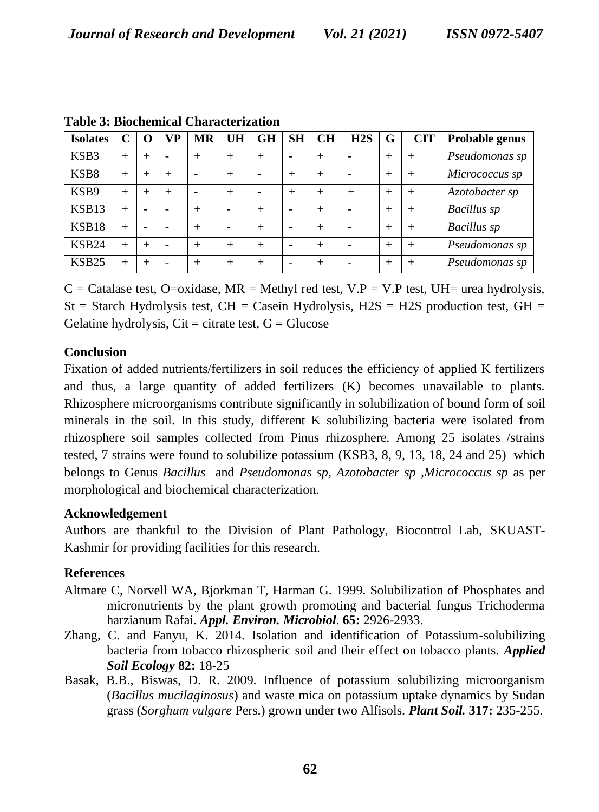| <b>Isolates</b>   | ⌒      | O      | VP                       | MR     | UH     | GH     | <b>SH</b> | CH     | H2S    | G      | <b>CIT</b> | Probable genus     |
|-------------------|--------|--------|--------------------------|--------|--------|--------|-----------|--------|--------|--------|------------|--------------------|
| KSB3              | $^{+}$ | $^{+}$ | $\overline{\phantom{0}}$ | $^{+}$ | $^{+}$ | $^{+}$ |           | $^{+}$ |        | $+$    | $^{+}$     | Pseudomonas sp     |
| KSB8              | $^{+}$ | $^{+}$ | $^{+}$                   |        | $^+$   |        | $^{+}$    | $^{+}$ |        | $^{+}$ | $^{+}$     | Micrococcus sp     |
| KSB9              | $^{+}$ | $^{+}$ | $^{+}$                   |        | ┿      |        | $^{+}$    | $^{+}$ | $^{+}$ | $^{+}$ | $^{+}$     | Azotobacter sp     |
| KSB13             |        |        |                          | $^{+}$ |        | $^{+}$ |           | $^{+}$ |        | $+$    | $^{+}$     | <b>Bacillus</b> sp |
| KSB18             | $^{+}$ |        |                          | $^{+}$ |        | $^{+}$ |           | $^{+}$ |        | $^{+}$ | $^{+}$     | <b>Bacillus</b> sp |
| <b>KSB24</b>      | $^{+}$ | $^{+}$ | $\overline{\phantom{0}}$ | $^{+}$ | $^+$   | $^{+}$ |           | $^{+}$ |        | $^{+}$ | $+$        | Pseudomonas sp     |
| KSB <sub>25</sub> | $^{+}$ | $^{+}$ | $\overline{\phantom{0}}$ | $^{+}$ | $^+$   | $^{+}$ |           | $^{+}$ |        | $^{+}$ |            | Pseudomonas sp     |

**Table 3: Biochemical Characterization**

 $C =$  Catalase test, O=oxidase, MR = Methyl red test, V.P = V.P test, UH= urea hydrolysis,  $St =$  Starch Hydrolysis test, CH = Casein Hydrolysis, H2S = H2S production test, GH = Gelatine hydrolysis,  $Cit =$  citrate test,  $G =$  Glucose

## **Conclusion**

Fixation of added nutrients/fertilizers in soil reduces the efficiency of applied K fertilizers and thus, a large quantity of added fertilizers (K) becomes unavailable to plants. Rhizosphere microorganisms contribute significantly in solubilization of bound form of soil minerals in the soil. In this study, different K solubilizing bacteria were isolated from rhizosphere soil samples collected from Pinus rhizosphere. Among 25 isolates /strains tested, 7 strains were found to solubilize potassium (KSB3, 8, 9, 13, 18, 24 and 25) which belongs to Genus *Bacillus* and *Pseudomonas sp, Azotobacter sp ,Micrococcus sp* as per morphological and biochemical characterization.

#### **Acknowledgement**

Authors are thankful to the Division of Plant Pathology, Biocontrol Lab, SKUAST**-**Kashmir for providing facilities for this research.

## **References**

- Altmare C, Norvell WA, Bjorkman T, Harman G. 1999. Solubilization of Phosphates and micronutrients by the plant growth promoting and bacterial fungus Trichoderma harzianum Rafai. *Appl. Environ. Microbiol*. **65:** 2926-2933.
- Zhang, C. and Fanyu, K. 2014. Isolation and identification of Potassium-solubilizing bacteria from tobacco rhizospheric soil and their effect on tobacco plants. *Applied Soil Ecology* **82:** 18-25
- Basak, B.B., Biswas, D. R. 2009. Influence of potassium solubilizing microorganism (*Bacillus mucilaginosus*) and waste mica on potassium uptake dynamics by Sudan grass (*Sorghum vulgare* Pers.) grown under two Alfisols. *Plant Soil.* **317:** 235-255.